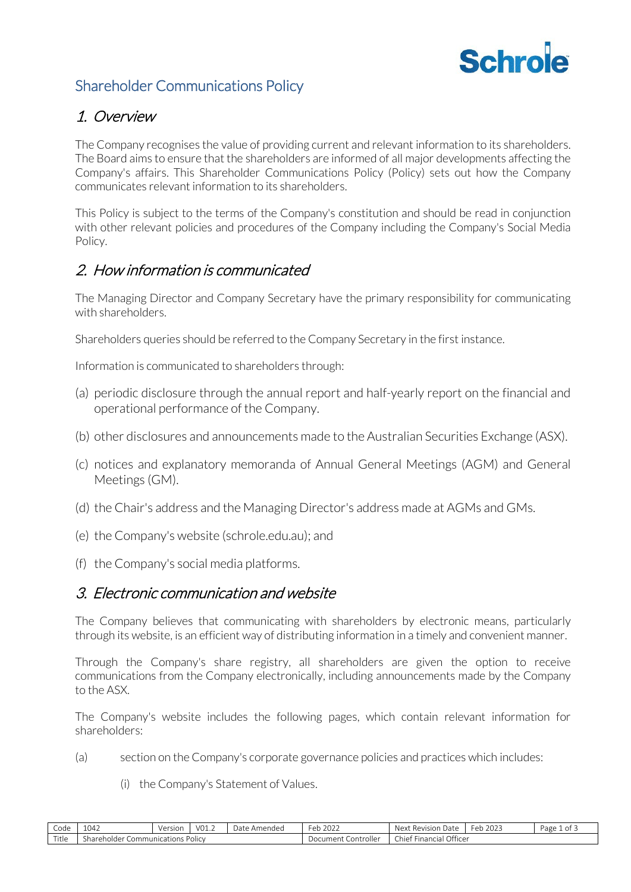

# Shareholder Communications Policy

# 1. Overview

The Company recognises the value of providing current and relevant information to its shareholders. The Board aims to ensure that the shareholders are informed of all major developments affecting the Company's affairs. This Shareholder Communications Policy (Policy) sets out how the Company communicates relevant information to its shareholders.

This Policy is subject to the terms of the Company's constitution and should be read in conjunction with other relevant policies and procedures of the Company including the Company's Social Media Policy.

# 2. How information is communicated

The Managing Director and Company Secretary have the primary responsibility for communicating with shareholders.

Shareholders queries should be referred to the Company Secretary in the first instance.

Information is communicated to shareholders through:

- (a) periodic disclosure through the annual report and half-yearly report on the financial and operational performance of the Company.
- (b) other disclosures and announcements made to the Australian Securities Exchange (ASX).
- (c) notices and explanatory memoranda of Annual General Meetings (AGM) and General Meetings (GM).
- (d) the Chair's address and the Managing Director's address made at AGMs and GMs.
- (e) the Company's website (schrole.edu.au); and
- (f) the Company's social media platforms.

#### 3. Electronic communication and website

The Company believes that communicating with shareholders by electronic means, particularly through its website, is an efficient way of distributing information in a timely and convenient manner.

Through the Company's share registry, all shareholders are given the option to receive communications from the Company electronically, including announcements made by the Company to the ASX.

The Company's website includes the following pages, which contain relevant information for shareholders:

- (a) section on the Company's corporate governance policies and practices which includes:
	- (i) the Company's Statement of Values.

| Code  | 1042                                                  | Version | V01.2 | : Amended<br>Date | Feb 2022               | Next<br>Revision<br>. Date            | 2023<br>Feb | Page<br>-01 |
|-------|-------------------------------------------------------|---------|-------|-------------------|------------------------|---------------------------------------|-------------|-------------|
| Title | <b>Policy</b><br>shareh<br>Communications<br>.nolder. |         |       |                   | Controller<br>Document | Officer<br>-<br>: Financial<br>Chief. |             |             |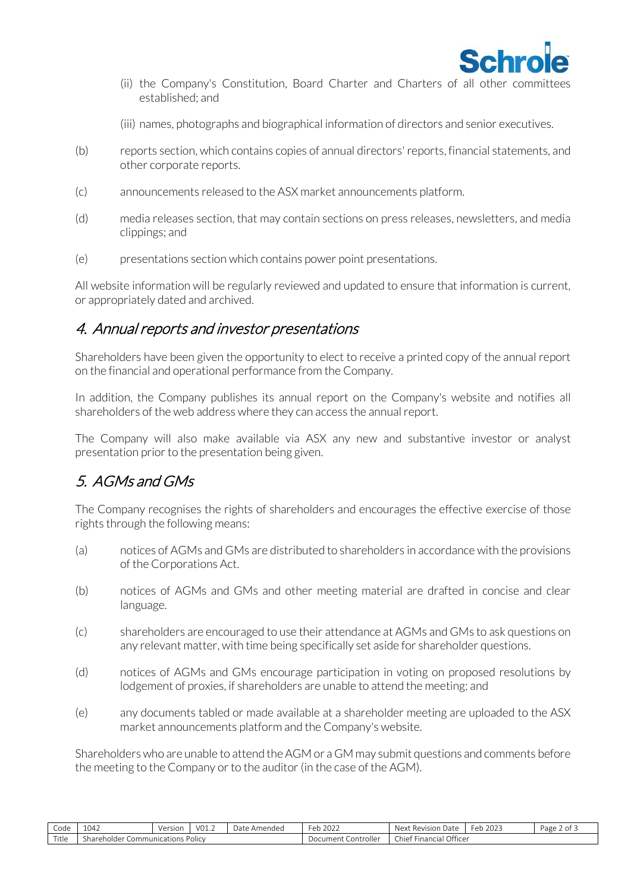

- (ii) the Company's Constitution, Board Charter and Charters of all other committees established; and
- (iii) names, photographs and biographical information of directors and senior executives.
- (b) reports section, which contains copies of annual directors' reports, financial statements, and other corporate reports.
- (c) announcements released to the ASX market announcements platform.
- (d) media releases section, that may contain sections on press releases, newsletters, and media clippings; and
- (e) presentations section which contains power point presentations.

All website information will be regularly reviewed and updated to ensure that information is current, or appropriately dated and archived.

### 4. Annual reports and investor presentations

Shareholders have been given the opportunity to elect to receive a printed copy of the annual report on the financial and operational performance from the Company.

In addition, the Company publishes its annual report on the Company's website and notifies all shareholders of the web address where they can access the annual report.

The Company will also make available via ASX any new and substantive investor or analyst presentation prior to the presentation being given.

# 5. AGMs and GMs

The Company recognises the rights of shareholders and encourages the effective exercise of those rights through the following means:

- (a) notices of AGMs and GMs are distributed to shareholders in accordance with the provisions of the Corporations Act.
- (b) notices of AGMs and GMs and other meeting material are drafted in concise and clear language.
- (c) shareholders are encouraged to use their attendance at AGMs and GMs to ask questions on any relevant matter, with time being specifically set aside for shareholder questions.
- (d) notices of AGMs and GMs encourage participation in voting on proposed resolutions by lodgement of proxies, if shareholders are unable to attend the meeting; and
- (e) any documents tabled or made available at a shareholder meeting are uploaded to the ASX market announcements platform and the Company's website.

Shareholders who are unable to attend the AGM or a GM may submit questions and comments before the meeting to the Company or to the auditor (in the case of the AGM).

| Code          | 1042                                     | Version | V01.2 | e Amended<br>Jate | 2022<br>$\sim$ h<br>∪ ∪  | Next<br>: Revision<br>Date           | າ∩າ:<br>- Feb 202 | Page z<br>.ot |
|---------------|------------------------------------------|---------|-------|-------------------|--------------------------|--------------------------------------|-------------------|---------------|
| $-1$<br>Title | s Polic<br>Shareholder<br>Communications |         |       |                   | Controller<br>/ ocument: | Officer<br>.<br>Chief<br>: Financial |                   |               |